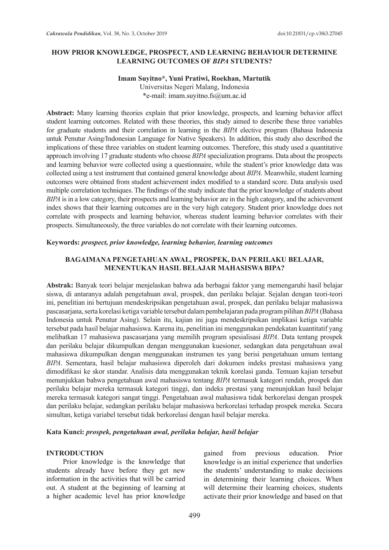## **HOW PRIOR KNOWLEDGE, PROSPECT, AND LEARNING BEHAVIOUR DETERMINE LEARNING OUTCOMES OF** *BIPA* **STUDENTS?**

# **Imam Suyitno\*, Yuni Pratiwi, Roekhan, Martutik**

Universitas Negeri Malang, Indonesia \*e-mail: imam.suyitno.fs@um.ac.id

**Abstract:** Many learning theories explain that prior knowledge, prospects, and learning behavior affect student learning outcomes. Related with these theories, this study aimed to describe these three variables for graduate students and their correlation in learning in the *BIPA* elective program (Bahasa Indonesia untuk Penutur Asing/Indonesian Language for Native Speakers). In addition, this study also described the implications of these three variables on student learning outcomes. Therefore, this study used a quantitative approach involving 17 graduate students who choose *BIPA* specialization programs. Data about the prospects and learning behavior were collected using a questionnaire, while the student's prior knowledge data was collected using a test instrument that contained general knowledge about *BIPA*. Meanwhile, student learning outcomes were obtained from student achievement index modified to a standard score. Data analysis used multiple correlation techniques. The findings of the study indicate that the prior knowledge of students about *BIPA* is in a low category, their prospects and learning behavior are in the high category, and the achievement index shows that their learning outcomes are in the very high category. Student prior knowledge does not correlate with prospects and learning behavior, whereas student learning behavior correlates with their prospects. Simultaneously, the three variables do not correlate with their learning outcomes.

### **Keywords:** *prospect, prior knowledge, learning behavior, learning outcomes*

### **BAGAIMANA PENGETAHUAN AWAL, PROSPEK, DAN PERILAKU BELAJAR, MENENTUKAN HASIL BELAJAR MAHASISWA BIPA?**

**Abstrak:** Banyak teori belajar menjelaskan bahwa ada berbagai faktor yang memengaruhi hasil belajar siswa, di antaranya adalah pengetahuan awal, prospek, dan perilaku belajar. Sejalan dengan teori-teori ini, penelitian ini bertujuan mendeskripsikan pengetahuan awal, prospek, dan perilaku belajar mahasiswa pascasarjana, serta korelasi ketiga variable tersebut dalam pembelajaran pada program pilihan *BIPA* (Bahasa Indonesia untuk Penutur Asing). Selain itu, kajian ini juga mendeskripsikan implikasi ketiga variable tersebut pada hasil belajar mahasiswa. Karena itu, penelitian ini menggunakan pendekatan kuantitatif yang melibatkan 17 mahasiswa pascasarjana yang memilih program spesialisasi *BIPA*. Data tentang prospek dan perilaku belajar dikumpulkan dengan menggunakan kuesioner, sedangkan data pengetahuan awal mahasiswa dikumpulkan dengan menggunakan instrumen tes yang berisi pengetahuan umum tentang *BIPA*. Sementara, hasil belajar mahasiswa diperoleh dari dokumen indeks prestasi mahasiswa yang dimodifikasi ke skor standar. Analisis data menggunakan teknik korelasi ganda. Temuan kajian tersebut menunjukkan bahwa pengetahuan awal mahasiswa tentang *BIPA* termasuk kategori rendah, prospek dan perilaku belajar mereka termasuk kategori tinggi, dan indeks prestasi yang menunjukkan hasil belajar mereka termasuk kategori sangat tinggi. Pengetahuan awal mahasiswa tidak berkorelasi dengan prospek dan perilaku belajar, sedangkan perilaku belajar mahasiswa berkorelasi terhadap prospek mereka. Secara simultan, ketiga variabel tersebut tidak berkorelasi dengan hasil belajar mereka.

### **Kata Kunci:** *prospek, pengetahuan awal, perilaku belajar, hasil belajar*

#### **INTRODUCTION**

Prior knowledge is the knowledge that students already have before they get new information in the activities that will be carried out. A student at the beginning of learning at a higher academic level has prior knowledge gained from previous education. Prior knowledge is an initial experience that underlies the students' understanding to make decisions in determining their learning choices. When will determine their learning choices, students activate their prior knowledge and based on that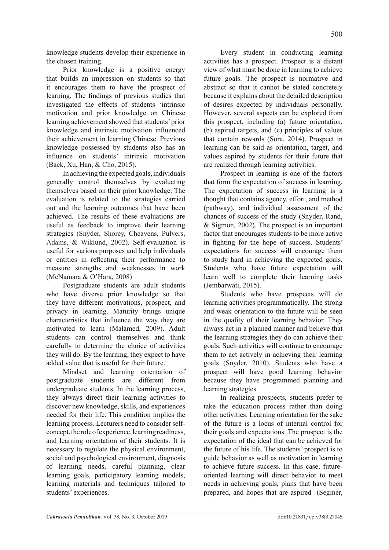knowledge students develop their experience in the chosen training.

Prior knowledge is a positive energy that builds an impression on students so that it encourages them to have the prospect of learning. The findings of previous studies that investigated the effects of students 'intrinsic motivation and prior knowledge on Chinese learning achievement showed that students' prior knowledge and intrinsic motivation influenced their achievement in learning Chinese. Previous knowledge possessed by students also has an influence on students' intrinsic motivation (Baek, Xu, Han, & Cho, 2015).

In achieving the expected goals, individuals generally control themselves by evaluating themselves based on their prior knowledge. The evaluation is related to the strategies carried out and the learning outcomes that have been achieved. The results of these evaluations are useful as feedback to improve their learning strategies (Snyder, Shorey, Cheavens, Pulvers, Adams, & Wiklund, 2002). Self-evaluation is useful for various purposes and help individuals or entities in reflecting their performance to measure strengths and weaknesses in work (McNamara & O'Hara, 2008)

Postgraduate students are adult students who have diverse prior knowledge so that they have different motivations, prospect, and privacy in learning. Maturity brings unique characteristics that influence the way they are motivated to learn (Malamed, 2009). Adult students can control themselves and think carefully to determine the choice of activities they will do. By the learning, they expect to have added value that is useful for their future.

Mindset and learning orientation of postgraduate students are different from undergraduate students. In the learning process, they always direct their learning activities to discover new knowledge, skills, and experiences needed for their life. This condition implies the learning process. Lecturers need to consider selfconcept, the role of experience, learning readiness, and learning orientation of their students. It is necessary to regulate the physical environment, social and psychological environment, diagnosis of learning needs, careful planning, clear learning goals, participatory learning models, learning materials and techniques tailored to students' experiences.

Every student in conducting learning activities has a prospect. Prospect is a distant view of what must be done in learning to achieve future goals. The prospect is normative and abstract so that it cannot be stated concretely because it explains about the detailed description of desires expected by individuals personally. However, several aspects can be explored from this prospect, including (a) future orientation, (b) aspired targets, and (c) principles of values that contain rewards (Sora, 2014). Prospect in learning can be said as orientation, target, and values aspired by students for their future that are realized through learning activities.

Prospect in learning is one of the factors that form the expectation of success in learning. The expectation of success in learning is a thought that contains agency, effort, and method (pathway), and individual assessment of the chances of success of the study (Snyder, Rand, & Sigmon, 2002). The prospect is an important factor that encourages students to be more active in fighting for the hope of success. Students' expectations for success will encourage them to study hard in achieving the expected goals. Students who have future expectation will learn well to complete their learning tasks (Jembarwati, 2015).

Students who have prospects will do learning activities programmatically. The strong and weak orientation to the future will be seen in the quality of their learning behavior. They always act in a planned manner and believe that the learning strategies they do can achieve their goals. Such activities will continue to encourage them to act actively in achieving their learning goals (Snyder, 2010). Students who have a prospect will have good learning behavior because they have programmed planning and learning strategies.

In realizing prospects, students prefer to take the education process rather than doing other activities. Learning orientation for the sake of the future is a locus of internal control for their goals and expectations. The prospect is the expectation of the ideal that can be achieved for the future of his life. The students' prospect is to guide behavior as well as motivation in learning to achieve future success. In this case, futureoriented learning will direct behavior to meet needs in achieving goals, plans that have been prepared, and hopes that are aspired (Seginer,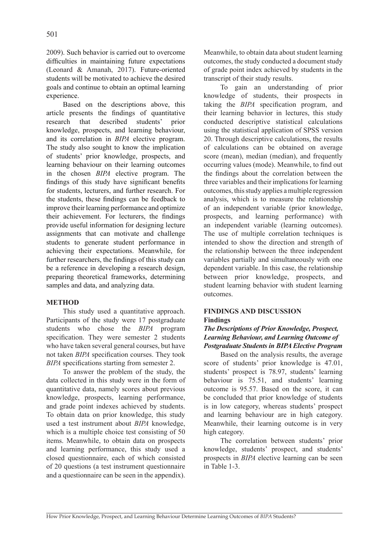2009). Such behavior is carried out to overcome difficulties in maintaining future expectations (Leonard & Amanah, 2017). Future-oriented students will be motivated to achieve the desired goals and continue to obtain an optimal learning experience.

Based on the descriptions above, this article presents the findings of quantitative research that described students' prior knowledge, prospects, and learning behaviour, and its correlation in *BIPA* elective program. The study also sought to know the implication of students' prior knowledge, prospects, and learning behaviour on their learning outcomes in the chosen *BIPA* elective program. The findings of this study have significant benefits for students, lecturers, and further research. For the students, these findings can be feedback to improve their learning performance and optimize their achievement. For lecturers, the findings provide useful information for designing lecture assignments that can motivate and challenge students to generate student performance in achieving their expectations. Meanwhile, for further researchers, the findings of this study can be a reference in developing a research design, preparing theoretical frameworks, determining samples and data, and analyzing data.

## **METHOD**

This study used a quantitative approach. Participants of the study were 17 postgraduate students who chose the *BIPA* program specification. They were semester 2 students who have taken several general courses, but have not taken *BIPA* specification courses. They took *BIPA* specifications starting from semester 2.

To answer the problem of the study, the data collected in this study were in the form of quantitative data, namely scores about previous knowledge, prospects, learning performance, and grade point indexes achieved by students. To obtain data on prior knowledge, this study used a test instrument about *BIPA* knowledge, which is a multiple choice test consisting of 50 items. Meanwhile, to obtain data on prospects and learning performance, this study used a closed questionnaire, each of which consisted of 20 questions (a test instrument questionnaire and a questionnaire can be seen in the appendix). Meanwhile, to obtain data about student learning outcomes, the study conducted a document study of grade point index achieved by students in the transcript of their study results.

To gain an understanding of prior knowledge of students, their prospects in taking the *BIPA* specification program, and their learning behavior in lectures, this study conducted descriptive statistical calculations using the statistical application of SPSS version 20. Through descriptive calculations, the results of calculations can be obtained on average score (mean), median (median), and frequently occurring values (mode). Meanwhile, to find out the findings about the correlation between the three variables and their implications for learning outcomes, this study applies a multiple regression analysis, which is to measure the relationship of an independent variable (prior knowledge, prospects, and learning performance) with an independent variable (learning outcomes). The use of multiple correlation techniques is intended to show the direction and strength of the relationship between the three independent variables partially and simultaneously with one dependent variable. In this case, the relationship between prior knowledge, prospects, and student learning behavior with student learning outcomes.

### **FINDINGS AND DISCUSSION Findings**

# *The Descriptions of Prior Knowledge, Prospect, Learning Behaviour, and Learning Outcome of Postgraduate Students in BIPA Elective Program*

Based on the analysis results, the average score of students' prior knowledge is 47.01, students' prospect is 78.97, students' learning behaviour is 75.51, and students' learning outcome is 95.57. Based on the score, it can be concluded that prior knowledge of students is in low category, whereas students' prospect and learning behaviour are in high category. Meanwhile, their learning outcome is in very high category.

The correlation between students' prior knowledge, students' prospect, and students' prospects in *BIPA* elective learning can be seen in Table 1-3.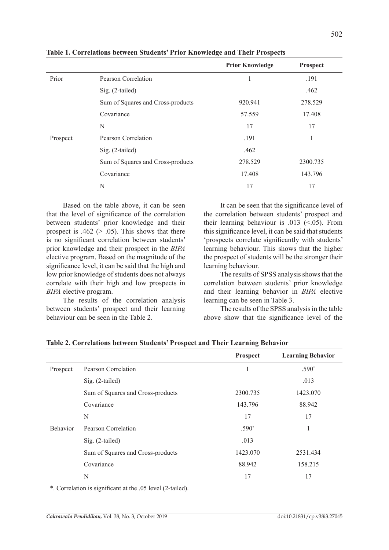|          |                                   | <b>Prior Knowledge</b> | Prospect |
|----------|-----------------------------------|------------------------|----------|
| Prior    | Pearson Correlation               |                        | .191     |
|          | Sig. (2-tailed)                   |                        | .462     |
|          | Sum of Squares and Cross-products | 920.941                | 278.529  |
|          | Covariance                        | 57.559                 | 17.408   |
|          | N                                 | 17                     | 17       |
| Prospect | Pearson Correlation               | .191                   |          |
|          | Sig. (2-tailed)                   | .462                   |          |
|          | Sum of Squares and Cross-products | 278.529                | 2300.735 |
|          | Covariance                        | 17.408                 | 143.796  |
|          | N                                 | 17                     | 17       |

**Table 1. Correlations between Students' Prior Knowledge and Their Prospects**

Based on the table above, it can be seen that the level of significance of the correlation between students' prior knowledge and their prospect is  $.462$  ( $> .05$ ). This shows that there is no significant correlation between students' prior knowledge and their prospect in the *BIPA* elective program. Based on the magnitude of the significance level, it can be said that the high and low prior knowledge of students does not always correlate with their high and low prospects in *BIPA* elective program.

The results of the correlation analysis between students' prospect and their learning behaviour can be seen in the Table 2.

It can be seen that the significance level of the correlation between students' prospect and their learning behaviour is  $.013$  (<.05). From this significance level, it can be said that students 'prospects correlate significantly with students' learning behaviour. This shows that the higher the prospect of students will be the stronger their learning behaviour.

The results of SPSS analysis shows that the correlation between students' prior knowledge and their learning behavior in *BIPA* elective learning can be seen in Table 3.

The results of the SPSS analysis in the table above show that the significance level of the

|          |                                                            | <b>Prospect</b> | <b>Learning Behavior</b> |
|----------|------------------------------------------------------------|-----------------|--------------------------|
| Prospect | Pearson Correlation                                        |                 | $.590*$                  |
|          | Sig. (2-tailed)                                            |                 | .013                     |
|          | Sum of Squares and Cross-products                          | 2300.735        | 1423.070                 |
|          | Covariance                                                 | 143.796         | 88.942                   |
|          | N                                                          | 17              | 17                       |
| Behavior | Pearson Correlation                                        | .590*           |                          |
|          | Sig. (2-tailed)                                            | .013            |                          |
|          | Sum of Squares and Cross-products                          | 1423.070        | 2531.434                 |
|          | Covariance                                                 | 88.942          | 158.215                  |
|          | N                                                          | 17              | 17                       |
|          | *. Correlation is significant at the .05 level (2-tailed). |                 |                          |

**Table 2. Correlations between Students' Prospect and Their Learning Behavior**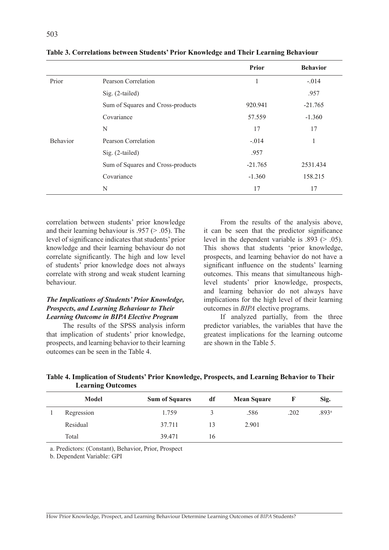|                 |                                   | <b>Prior</b> | <b>Behavior</b> |
|-----------------|-----------------------------------|--------------|-----------------|
| Prior           | Pearson Correlation               |              | $-.014$         |
|                 | Sig. (2-tailed)                   |              | .957            |
|                 | Sum of Squares and Cross-products | 920.941      | $-21.765$       |
|                 | Covariance                        | 57.559       | $-1.360$        |
|                 | N                                 | 17           | 17              |
| <b>Behavior</b> | Pearson Correlation               | $-.014$      | 1               |
|                 | Sig. (2-tailed)                   | .957         |                 |
|                 | Sum of Squares and Cross-products | $-21.765$    | 2531.434        |
|                 | Covariance                        | $-1.360$     | 158.215         |
|                 | N                                 | 17           | 17              |

**Table 3. Correlations between Students' Prior Knowledge and Their Learning Behaviour**

correlation between students' prior knowledge and their learning behaviour is  $.957$  ( $> .05$ ). The level of significance indicates that students' prior knowledge and their learning behaviour do not correlate significantly. The high and low level of students' prior knowledge does not always correlate with strong and weak student learning behaviour.

## *The Implications of Students' Prior Knowledge, Prospects, and Learning Behaviour to Their Learning Outcome in BIPA Elective Program*

The results of the SPSS analysis inform that implication of students' prior knowledge, prospects, and learning behavior to their learning outcomes can be seen in the Table 4.

From the results of the analysis above, it can be seen that the predictor significance level in the dependent variable is  $.893$  ( $> .05$ ). This shows that students 'prior knowledge, prospects, and learning behavior do not have a significant influence on the students' learning outcomes. This means that simultaneous highlevel students' prior knowledge, prospects, and learning behavior do not always have implications for the high level of their learning outcomes in *BIPA* elective programs.

If analyzed partially, from the three predictor variables, the variables that have the greatest implications for the learning outcome are shown in the Table 5.

|                          | Table 4. Implication of Students' Prior Knowledge, Prospects, and Learning Behavior to Their |
|--------------------------|----------------------------------------------------------------------------------------------|
| <b>Learning Outcomes</b> |                                                                                              |

| <b>Model</b> | <b>Sum of Squares</b> | df | <b>Mean Square</b> |      | Sig.              |
|--------------|-----------------------|----|--------------------|------|-------------------|
| Regression   | 1.759                 |    | .586               | .202 | .893 <sup>a</sup> |
| Residual     | 37.711                | 13 | 2.901              |      |                   |
| Total        | 39.471                | 16 |                    |      |                   |

a. Predictors: (Constant), Behavior, Prior, Prospect

b. Dependent Variable: GPI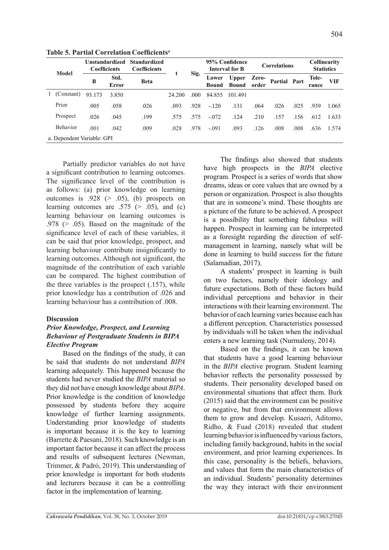| <b>Model</b> |                            | <b>Coefficients</b> | Unstandardized | <b>Standardized</b><br><b>Coefficients</b> |        |                       |                              | 95% Confidence<br><b>Interval for B</b> |              | <b>Correlations</b> |                | Collinearity<br><b>Statistics</b> |       |
|--------------|----------------------------|---------------------|----------------|--------------------------------------------|--------|-----------------------|------------------------------|-----------------------------------------|--------------|---------------------|----------------|-----------------------------------|-------|
|              | B                          | Std.<br>Error       | <b>Beta</b>    |                                            | Sig.   | Lower<br><b>Bound</b> | <b>Upper</b><br><b>Bound</b> | Zero-<br>order                          | Partial Part |                     | Tole-<br>rance | VIF                               |       |
|              | 1 (Constant)               | 93.173              | 3.850          |                                            | 24.200 | .000                  | 84.855                       | 101.491                                 |              |                     |                |                                   |       |
|              | Prior                      | .005                | .058           | .026                                       | .093   | .928                  | $-.120$                      | .131                                    | .064         | .026                | .025           | .939                              | 1.065 |
|              | Prospect                   | .026                | .045           | .199                                       | .575   | .575                  | $-.072$                      | .124                                    | .210         | .157                | .156           | .612                              | 1.633 |
|              | Behavior                   | .001                | .042           | .009                                       | .028   | .978                  | $-.091$                      | .093                                    | .126         | .008                | .008           | .636                              | 1.574 |
|              | a. Dependent Variable: GPI |                     |                |                                            |        |                       |                              |                                         |              |                     |                |                                   |       |

**Table 5. Partial Correlation Coefficients<sup>a</sup>**

Partially predictor variables do not have a significant contribution to learning outcomes. The significance level of the contribution is as follows: (a) prior knowledge on learning outcomes is  $.928$  ( $> .05$ ), (b) prospects on learning outcomes are .575 ( $> .05$ ), and (c) learning behaviour on learning outcomes is .978 ( $>$  .05). Based on the magnitude of the significance level of each of these variables, it can be said that prior knowledge, prospect, and learning behaviour contribute insignificantly to learning outcomes. Although not significant, the magnitude of the contribution of each variable can be compared. The highest contribution of the three variables is the prospect (.157), while prior knowledge has a contribution of .026 and learning behaviour has a contribution of .008.

## **Discussion**

# *Prior Knowledge, Prospect, and Learning Behaviour of Postgraduate Students in BIPA Elective Program*

Based on the findings of the study, it can be said that students do not understand *BIPA* learning adequately. This happened because the students had never studied the *BIPA* material so they did not have enough knowledge about *BIPA*. Prior knowledge is the condition of knowledge possessed by students before they acquire knowledge of further learning assignments. Understanding prior knowledge of students is important because it is the key to learning (Barrette & Paesani, 2018). Such knowledge is an important factor because it can affect the process and results of subsequent lectures (Newman, Trimmer, & Padró, 2019). This understanding of prior knowledge is important for both students and lecturers because it can be a controlling factor in the implementation of learning.

The findings also showed that students have high prospects in the *BIPA* elective program. Prospect is a series of words that show dreams, ideas or core values that are owned by a person or organization. Prospect is also thoughts that are in someone's mind. These thoughts are a picture of the future to be achieved. A prospect is a possibility that something fabulous will happen. Prospect in learning can be interpreted as a foresight regarding the direction of selfmanagement in learning, namely what will be done in learning to build success for the future (Salamadian, 2017).

A students' prospect in learning is built on two factors, namely their ideology and future expectations. Both of these factors build individual perceptions and behavior in their interactions with their learning environment. The behavior of each learning varies because each has a different perception. Characteristics possessed by individuals will be taken when the individual enters a new learning task (Nurmaleny, 2014).

Based on the findings, it can be known that students have a good learning behaviour in the *BIPA* elective program. Student learning behavior reflects the personality possessed by students. Their personality developed based on environmental situations that affect them. Burk (2015) said that the environment can be positive or negative, but from that environment allows them to grow and develop. Kusaeri, Aditomo, Ridho, & Fuad (2018) revealed that student learning behavior is influenced by various factors, including family background, habits in the social environment, and prior learning experiences. In this case, personality is the beliefs, behaviors, and values that form the main characteristics of an individual. Students' personality determines the way they interact with their environment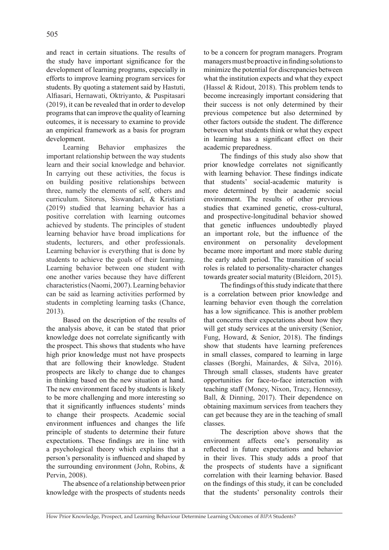and react in certain situations. The results of the study have important significance for the development of learning programs, especially in efforts to improve learning program services for students. By quoting a statement said by Hastuti, Alfiasari, Hernawati, Oktriyanto, & Puspitasari (2019), it can be revealed that in order to develop programs that can improve the quality of learning outcomes, it is necessary to examine to provide an empirical framework as a basis for program development.

Learning Behavior emphasizes the important relationship between the way students learn and their social knowledge and behavior. In carrying out these activities, the focus is on building positive relationships between three, namely the elements of self, others and curriculum. Sitorus, Siswandari, & Kristiani (2019) studied that learning behavior has a positive correlation with learning outcomes achieved by students. The principles of student learning behavior have broad implications for students, lecturers, and other professionals. Learning behavior is everything that is done by students to achieve the goals of their learning. Learning behavior between one student with one another varies because they have different characteristics (Naomi, 2007). Learning behavior can be said as learning activities performed by students in completing learning tasks (Chance, 2013).

Based on the description of the results of the analysis above, it can be stated that prior knowledge does not correlate significantly with the prospect. This shows that students who have high prior knowledge must not have prospects that are following their knowledge. Student prospects are likely to change due to changes in thinking based on the new situation at hand. The new environment faced by students is likely to be more challenging and more interesting so that it significantly influences students' minds to change their prospects. Academic social environment influences and changes the life principle of students to determine their future expectations. These findings are in line with a psychological theory which explains that a person's personality is influenced and shaped by the surrounding environment (John, Robins, & Pervin, 2008).

The absence of a relationship between prior knowledge with the prospects of students needs to be a concern for program managers. Program managers must be proactive in finding solutions to minimize the potential for discrepancies between what the institution expects and what they expect (Hassel & Ridout, 2018). This problem tends to become increasingly important considering that their success is not only determined by their previous competence but also determined by other factors outside the student. The difference between what students think or what they expect in learning has a significant effect on their academic preparedness.

The findings of this study also show that prior knowledge correlates not significantly with learning behavior. These findings indicate that students' social-academic maturity is more determined by their academic social environment. The results of other previous studies that examined genetic, cross-cultural, and prospective-longitudinal behavior showed that genetic influences undoubtedly played an important role, but the influence of the environment on personality development became more important and more stable during the early adult period. The transition of social roles is related to personality-character changes towards greater social maturity (Bleidorn, 2015).

The findings of this study indicate that there is a correlation between prior knowledge and learning behavior even though the correlation has a low significance. This is another problem that concerns their expectations about how they will get study services at the university (Senior, Fung, Howard, & Senior, 2018). The findings show that students have learning preferences in small classes, compared to learning in large classes (Borghi, Mainardes, & Silva, 2016). Through small classes, students have greater opportunities for face-to-face interaction with teaching staff (Money, Nixon, Tracy, Hennessy, Ball, & Dinning, 2017). Their dependence on obtaining maximum services from teachers they can get because they are in the teaching of small classes.

The description above shows that the environment affects one's personality as reflected in future expectations and behavior in their lives. This study adds a proof that the prospects of students have a significant correlation with their learning behavior. Based on the findings of this study, it can be concluded that the students' personality controls their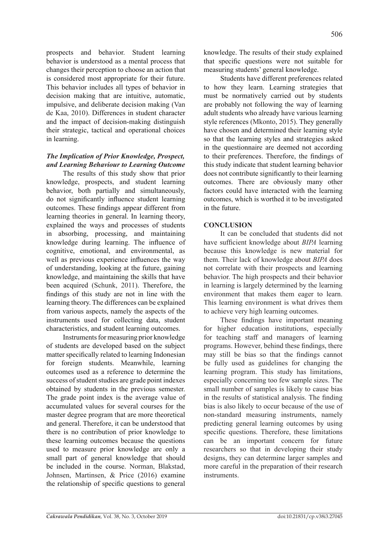prospects and behavior. Student learning behavior is understood as a mental process that changes their perception to choose an action that is considered most appropriate for their future. This behavior includes all types of behavior in decision making that are intuitive, automatic, impulsive, and deliberate decision making (Van de Kaa, 2010). Differences in student character and the impact of decision-making distinguish their strategic, tactical and operational choices in learning.

## *The Implication of Prior Knowledge, Prospect, and Learning Behaviour to Learning Outcome*

The results of this study show that prior knowledge, prospects, and student learning behavior, both partially and simultaneously, do not significantly influence student learning outcomes. These findings appear different from learning theories in general. In learning theory, explained the ways and processes of students in absorbing, processing, and maintaining knowledge during learning. The influence of cognitive, emotional, and environmental, as well as previous experience influences the way of understanding, looking at the future, gaining knowledge, and maintaining the skills that have been acquired (Schunk, 2011). Therefore, the findings of this study are not in line with the learning theory. The differences can be explained from various aspects, namely the aspects of the instruments used for collecting data, student characteristics, and student learning outcomes.

Instruments for measuring prior knowledge of students are developed based on the subject matter specifically related to learning Indonesian for foreign students. Meanwhile, learning outcomes used as a reference to determine the success of student studies are grade point indexes obtained by students in the previous semester. The grade point index is the average value of accumulated values for several courses for the master degree program that are more theoretical and general. Therefore, it can be understood that there is no contribution of prior knowledge to these learning outcomes because the questions used to measure prior knowledge are only a small part of general knowledge that should be included in the course. Norman, Blakstad, Johnsen, Martinsen, & Price (2016) examine the relationship of specific questions to general

knowledge. The results of their study explained that specific questions were not suitable for measuring students' general knowledge.

Students have different preferences related to how they learn. Learning strategies that must be normatively carried out by students are probably not following the way of learning adult students who already have various learning style references (Mkonto, 2015). They generally have chosen and determined their learning style so that the learning styles and strategies asked in the questionnaire are deemed not according to their preferences. Therefore, the findings of this study indicate that student learning behavior does not contribute significantly to their learning outcomes. There are obviously many other factors could have interacted with the learning outcomes, which is worthed it to be investigated in the future.

# **CONCLUSION**

It can be concluded that students did not have sufficient knowledge about *BIPA* learning because this knowledge is new material for them. Their lack of knowledge about *BIPA* does not correlate with their prospects and learning behavior. The high prospects and their behavior in learning is largely determined by the learning environment that makes them eager to learn. This learning environment is what drives them to achieve very high learning outcomes.

These findings have important meaning for higher education institutions, especially for teaching staff and managers of learning programs. However, behind these findings, there may still be bias so that the findings cannot be fully used as guidelines for changing the learning program. This study has limitations, especially concerning too few sample sizes. The small number of samples is likely to cause bias in the results of statistical analysis. The finding bias is also likely to occur because of the use of non-standard measuring instruments, namely predicting general learning outcomes by using specific questions. Therefore, these limitations can be an important concern for future researchers so that in developing their study designs, they can determine larger samples and more careful in the preparation of their research instruments.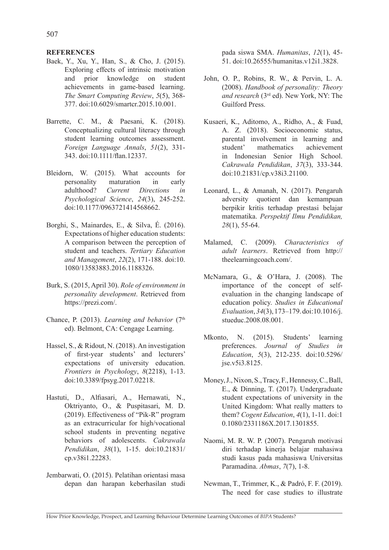## **REFERENCES**

- Baek, Y., Xu, Y., Han, S., & Cho, J. (2015). Exploring effects of intrinsic motivation and prior knowledge on student achievements in game-based learning. *The Smart Computing Review*, *5*(5), 368- 377. doi:10.6029/smartcr.2015.10.001.
- Barrette, C. M., & Paesani, K. (2018). Conceptualizing cultural literacy through student learning outcomes assessment. *Foreign Language Annals*, *51*(2), 331- 343. doi:10.1111/flan.12337.
- Bleidorn, W. (2015). What accounts for personality maturation in early adulthood? *Current Directions in Psychological Science*, *24*(3), 245-252. doi:10.1177/0963721414568662.
- Borghi, S., Mainardes, E., & Silva, É. (2016). Expectations of higher education students: A comparison between the perception of student and teachers. *Tertiary Education and Management*, *22*(2), 171-188. doi:10. 1080/13583883.2016.1188326.
- Burk, S. (2015, April 30). *Role of environment in personality development*. Retrieved from https://prezi.com/.
- Chance, P. (2013). *Learning and behavior* (7<sup>th</sup>) ed). Belmont, CA: Cengage Learning.
- Hassel, S., & Ridout, N. (2018). An investigation of first-year students' and lecturers' expectations of university education. *Frontiers in Psychology*, *8*(2218), 1-13. doi:10.3389/fpsyg.2017.02218.
- Hastuti, D., Alfiasari, A., Hernawati, N., Oktriyanto, O., & Puspitasari, M. D. (2019). Effectiveness of "Pik-R" program as an extracurricular for high/vocational school students in preventing negative behaviors of adolescents. *Cakrawala Pendidikan*, *38*(1), 1-15. doi:10.21831/ cp.v38i1.22283.
- Jembarwati, O. (2015). Pelatihan orientasi masa depan dan harapan keberhasilan studi

pada siswa SMA. *Humanitas*, *12*(1), 45- 51. doi:10.26555/humanitas.v12i1.3828.

- John, O. P., Robins, R. W., & Pervin, L. A. (2008). *Handbook of personality: Theory and research* (3rd ed). New York, NY: The Guilford Press.
- Kusaeri, K., Aditomo, A., Ridho, A., & Fuad, A. Z. (2018). Socioeconomic status, parental involvement in learning and student' mathematics achievement in Indonesian Senior High School. *Cakrawala Pendidikan*, *37*(3), 333-344. doi:10.21831/cp.v38i3.21100.
- Leonard, L., & Amanah, N. (2017). Pengaruh adversity quotient dan kemampuan berpikir kritis terhadap prestasi belajar matematika. *Perspektif Ilmu Pendidikan, 28*(1), 55-64.
- Malamed, C. (2009). *Characteristics of adult learners*. Retrieved from http:// theelearningcoach.com/.
- McNamara, G., & O'Hara, J. (2008). The importance of the concept of selfevaluation in the changing landscape of education policy. *Studies in Educational Evaluation*, *34*(3), 173–179. doi:10.1016/j. stueduc.2008.08.001.
- Mkonto, N. (2015). Students' learning preferences. *Journal of Studies in Education*, *5*(3), 212-235. doi:10.5296/ jse.v5i3.8125.
- Money, J., Nixon, S., Tracy, F., Hennessy, C., Ball, E., & Dinning, T. (2017). Undergraduate student expectations of university in the United Kingdom: What really matters to them? *Cogent Education*, *4*(1), 1-11. doi:1 0.1080/2331186X.2017.1301855.
- Naomi, M. R. W. P. (2007). Pengaruh motivasi diri terhadap kinerja belajar mahasiwa studi kasus pada mahasiswa Universitas Paramadina. *Abmas*, *7*(7), 1-8.
- Newman, T., Trimmer, K., & Padró, F. F. (2019). The need for case studies to illustrate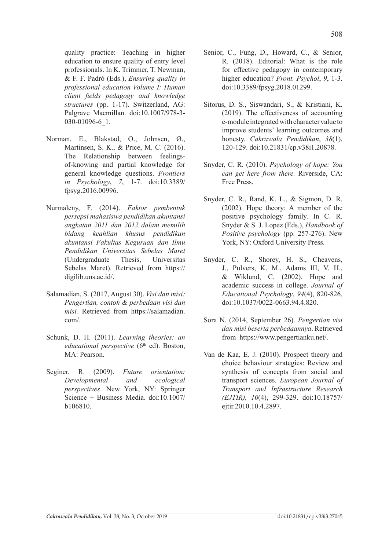quality practice: Teaching in higher education to ensure quality of entry level professionals. In K. Trimmer, T. Newman, & F. F. Padró (Eds.), *Ensuring quality in professional education Volume I: Human client fields pedagogy and knowledge structures* (pp. 1-17). Switzerland, AG: Palgrave Macmillan. doi:10.1007/978-3- 030-01096-6\_1.

- Norman, E., Blakstad, O., Johnsen, Ø., Martinsen, S. K., & Price, M. C. (2016). The Relationship between feelingsof-knowing and partial knowledge for general knowledge questions. *Frontiers in Psychology*, *7*, 1-7. doi:10.3389/ fpsyg.2016.00996.
- Nurmaleny, F. (2014). *Faktor pembentuk persepsi mahasiswa pendidikan akuntansi angkatan 2011 dan 2012 dalam memilih bidang keahlian khusus pendidikan akuntansi Fakultas Keguruan dan Ilmu Pendidikan Universitas Sebelas Maret*  (Undergraduate Thesis, Universitas Sebelas Maret). Retrieved from https:// digilib.uns.ac.id/.
- Salamadian, S. (2017, August 30). *Visi dan misi: Pengertian, contoh & perbedaan visi dan misi.* Retrieved from https://salamadian. com/.
- Schunk, D. H. (2011). *Learning theories: an educational perspective* (6<sup>th</sup> ed). Boston, MA: Pearson.
- Seginer, R. (2009). *Future orientation: Developmental and ecological perspectives*. New York, NY: Springer Science + Business Media. doi:10.1007/ b106810.
- Senior, C., Fung, D., Howard, C., & Senior, R. (2018). Editorial: What is the role for effective pedagogy in contemporary higher education? *Front. Psychol*, *9*, 1-3. doi:10.3389/fpsyg.2018.01299.
- Sitorus, D. S., Siswandari, S., & Kristiani, K. (2019). The effectiveness of accounting e-module integrated with character value to improve students' learning outcomes and honesty. *Cakrawala Pendidikan*, *38*(1), 120-129. doi:10.21831/cp.v38i1.20878.
- Snyder, C. R. (2010). *Psychology of hope: You can get here from there.* Riverside, CA: Free Press.
- Snyder, C. R., Rand, K. L., & Sigmon, D. R. (2002). Hope theory: A member of the positive psychology family. In C. R. Snyder & S. J. Lopez (Eds.), *Handbook of Positive psychology* (pp. 257-276). New York, NY: Oxford University Press.
- Snyder, C. R., Shorey, H. S., Cheavens, J., Pulvers, K. M., Adams III, V. H., & Wiklund, C. (2002). Hope and academic success in college. *Journal of Educational Psychology*, *94*(4), 820-826. doi:10.1037/0022-0663.94.4.820.
- Sora N. (2014, September 26). *Pengertian visi dan misi beserta perbedaannya*. Retrieved from https://www.pengertianku.net/.
- Van de Kaa, E. J. (2010). Prospect theory and choice behaviour strategies: Review and synthesis of concepts from social and transport sciences. *European Journal of Transport and Infrastructure Research (EJTIR), 10*(4), 299-329. doi:10.18757/ ejtir.2010.10.4.2897.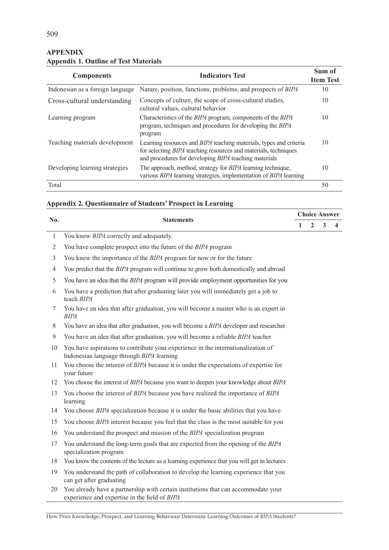| <b>Components</b>                | <b>Indicators Test</b>                                                                                                                                                                                              | Sum of<br><b>Item Test</b> |
|----------------------------------|---------------------------------------------------------------------------------------------------------------------------------------------------------------------------------------------------------------------|----------------------------|
| Indonesian as a foreign language | Nature, position, functions, problems, and prospects of BIPA                                                                                                                                                        | 10                         |
| Cross-cultural understanding     | Concepts of culture, the scope of cross-cultural studies,<br>cultural values, cultural behavior                                                                                                                     | 10                         |
| Learning program                 | Characteristics of the <i>BIPA</i> program, components of the <i>BIPA</i><br>program, techniques and procedures for developing the BIPA<br>program                                                                  | 10                         |
| Teaching materials development   | Learning resources and <i>BIPA</i> teaching materials, types and criteria<br>for selecting <i>BIPA</i> teaching resources and materials, techniques<br>and procedures for developing <i>BIPA</i> teaching materials | 10                         |
| Developing learning strategies   | The approach, method, strategy for <i>BIPA</i> learning technique,<br>various BIPA learning strategies, implementation of BIPA learning                                                                             | 10                         |
| Total                            |                                                                                                                                                                                                                     | 50                         |

# **APPENDIX Appendix 1. Outline of Test Materials**

# **Appendix 2. Questionnaire of Students' Prospect in Learning**

|                | No.<br><b>Statements</b>                                                                                                            |   |                | <b>Choice Answer</b> |   |
|----------------|-------------------------------------------------------------------------------------------------------------------------------------|---|----------------|----------------------|---|
|                |                                                                                                                                     | 1 | $\overline{2}$ | 3                    | 4 |
| $\mathbf{1}$   | You know <i>BIPA</i> correctly and adequately.                                                                                      |   |                |                      |   |
| $\overline{2}$ | You have complete prospect into the future of the BIPA program                                                                      |   |                |                      |   |
| 3              | You know the importance of the BIPA program for now or for the future                                                               |   |                |                      |   |
| $\overline{4}$ | You predict that the <i>BIPA</i> program will continue to grow both domestically and abroad                                         |   |                |                      |   |
| 5              | You have an idea that the <i>BIPA</i> program will provide employment opportunities for you                                         |   |                |                      |   |
| 6              | You have a prediction that after graduating later you will immediately get a job to<br>teach BIPA                                   |   |                |                      |   |
| 7              | You have an idea that after graduation, you will become a master who is an expert in<br><b>BIPA</b>                                 |   |                |                      |   |
| 8              | You have an idea that after graduation, you will become a BIPA developer and researcher                                             |   |                |                      |   |
| 9              | You have an idea that after graduation, you will become a reliable BIPA teacher                                                     |   |                |                      |   |
| 10             | You have aspirations to contribute your experience in the internationalization of<br>Indonesian language through BIPA learning      |   |                |                      |   |
| 11             | You choose the interest of BIPA because it is under the expectations of expertise for<br>your future                                |   |                |                      |   |
| 12             | You choose the interest of BIPA because you want to deepen your knowledge about BIPA                                                |   |                |                      |   |
| 13             | You choose the interest of BIPA because you have realized the importance of BIPA<br>learning                                        |   |                |                      |   |
| 14             | You choose BIPA specialization because it is under the basic abilities that you have                                                |   |                |                      |   |
| 15             | You choose BIPA interest because you feel that the class is the most suitable for you                                               |   |                |                      |   |
| 16             | You understand the prospect and mission of the BIPA specialization program                                                          |   |                |                      |   |
| 17             | You understand the long-term goals that are expected from the opening of the BIPA<br>specialization program                         |   |                |                      |   |
| 18             | You know the contents of the lecture as a learning experience that you will get in lectures                                         |   |                |                      |   |
| 19             | You understand the path of collaboration to develop the learning experience that you<br>can get after graduating                    |   |                |                      |   |
| 20             | You already have a partnership with certain institutions that can accommodate your<br>experience and expertise in the field of BIPA |   |                |                      |   |

How Prior Knowledge, Prospect, and Learning Behaviour Determine Learning Outcomes of *BIPA* Students?